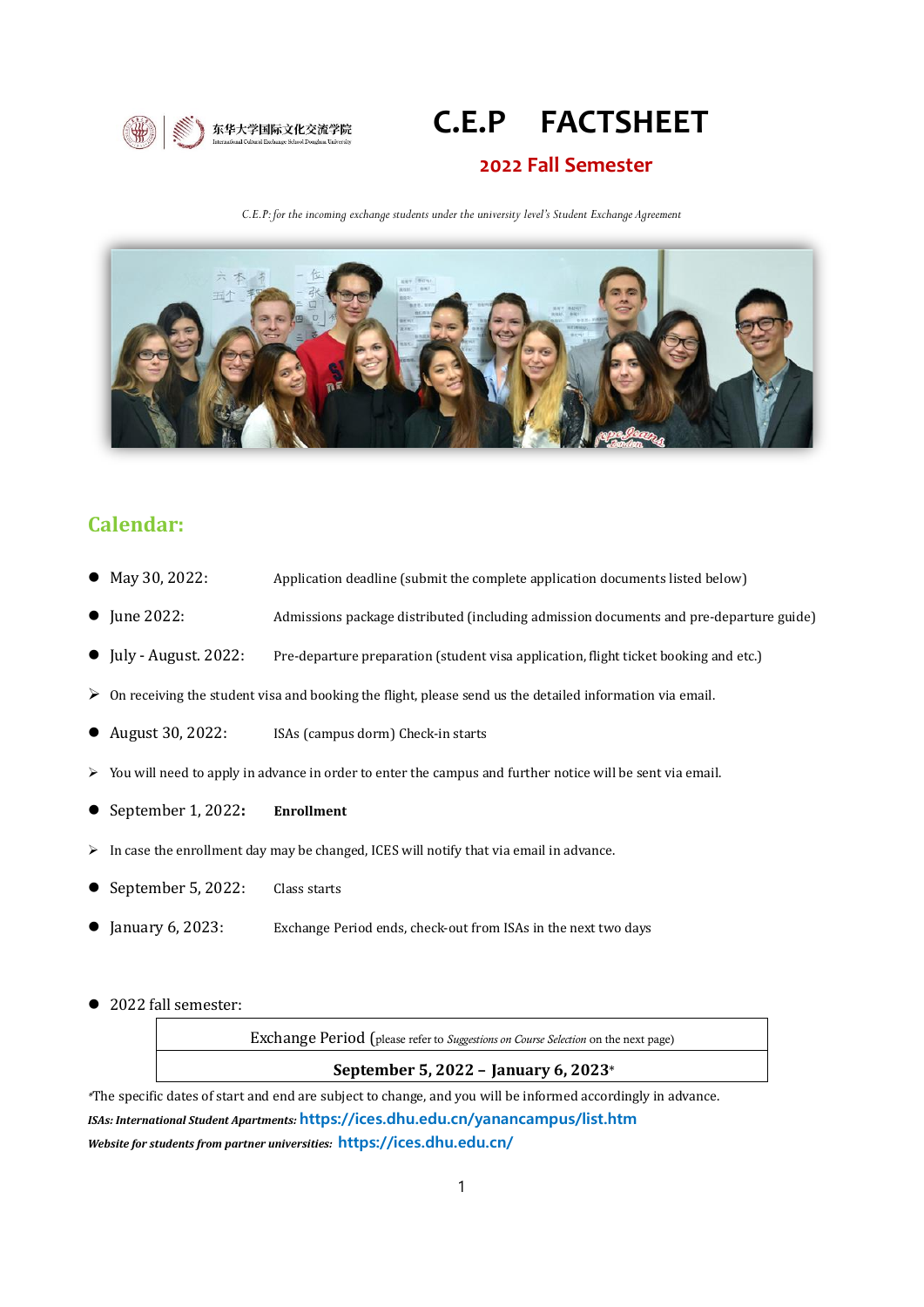

# **C.E.P FACTSHEET**

#### **2022 Fall Semester**

*C.E.P: for the incoming exchange students under the university level's Student Exchange Agreement*



## **Calendar:**

- May 30, 2022: Application deadline (submit the complete application documents listed below)
- ⚫ June 2022: Admissions package distributed (including admission documents and pre-departure guide)
- ⚫ July August. 2022: Pre-departure preparation (student visa application, flight ticket booking and etc.)
- $\triangleright$  On receiving the student visa and booking the flight, please send us the detailed information via email.
- August 30, 2022: ISAs (campus dorm) Check-in starts
- ➢ You will need to apply in advance in order to enter the campus and further notice will be sent via email.
- ⚫ September 1, 2022**: Enrollment**
- ➢ In case the enrollment day may be changed, ICES will notify that via email in advance.
- September 5, 2022: Class starts
- January 6, 2023: Exchange Period ends, check-out from ISAs in the next two days
- 2022 fall semester:

Exchange Period (please refer to *Suggestions on Course Selection* on the next page)

#### **September 5, 2022 – January 6, 2023**\*

*\**The specific dates of start and end are subject to change, and you will be informed accordingly in advance. *ISAs: International Student Apartments:* **<https://ices.dhu.edu.cn/yanancampus/list.htm>** *Website for students from partner universities:* **https://ices.dhu.edu.cn/**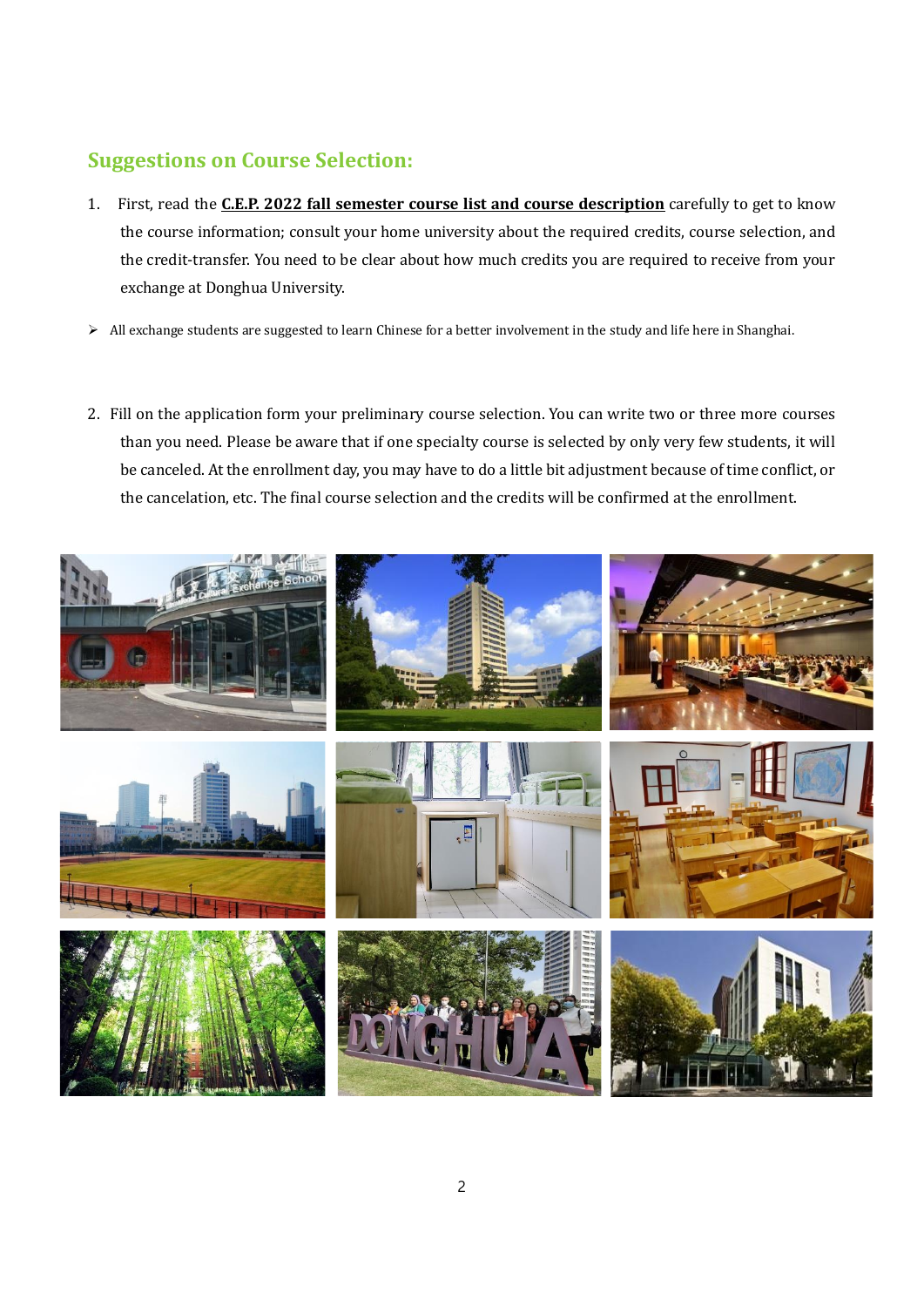# **Suggestions on Course Selection:**

- 1. First, read the **C.E.P. 2022 fall semester course list and course description** carefully to get to know the course information; consult your home university about the required credits, course selection, and the credit-transfer. You need to be clear about how much credits you are required to receive from your exchange at Donghua University.
- ➢ All exchange students are suggested to learn Chinese for a better involvement in the study and life here in Shanghai.
- 2. Fill on the application form your preliminary course selection. You can write two or three more courses than you need. Please be aware that if one specialty course is selected by only very few students, it will be canceled. At the enrollment day, you may have to do a little bit adjustment because of time conflict, or the cancelation, etc. The final course selection and the credits will be confirmed at the enrollment.

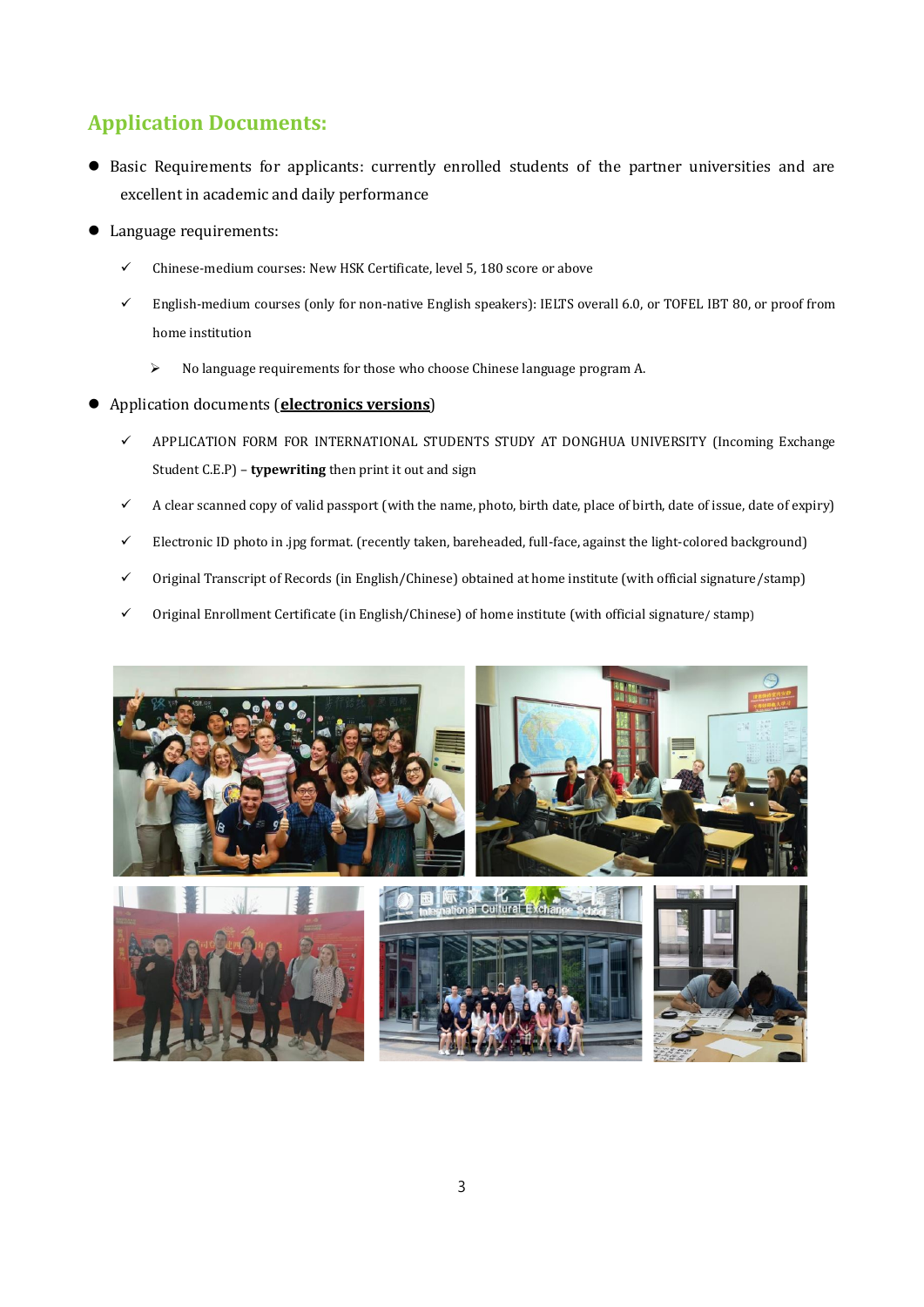# **Application Documents:**

- ⚫ Basic Requirements for applicants: currently enrolled students of the partner universities and are excellent in academic and daily performance
- Language requirements:
	- ✓ Chinese-medium courses: New HSK Certificate, level 5, 180 score or above
	- English-medium courses (only for non-native English speakers): IELTS overall 6.0, or TOFEL IBT 80, or proof from home institution
		- ➢ No language requirements for those who choose Chinese language program A.
- ⚫ Application documents (**electronics versions**)
	- ✓ APPLICATION FORM FOR INTERNATIONAL STUDENTS STUDY AT DONGHUA UNIVERSITY (Incoming Exchange Student C.E.P) – **typewriting** then print it out and sign
	- A clear scanned copy of valid passport (with the name, photo, birth date, place of birth, date of issue, date of expiry)
	- ✓ Electronic ID photo in .jpg format. (recently taken, bareheaded, full-face, against the light-colored background)
	- ✓ Original Transcript of Records (in English/Chinese) obtained at home institute (with official signature/stamp)
	- ✓ Original Enrollment Certificate (in English/Chinese) of home institute (with official signature/ stamp)